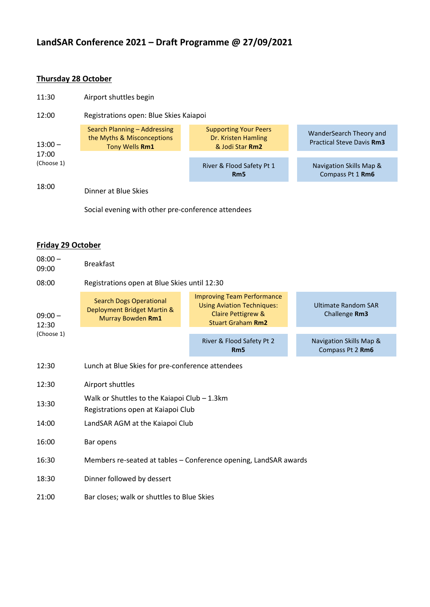# **LandSAR Conference 2021 – Draft Programme @ 27/09/2021**

## **Thursday 28 October**

| 11:30                                     | Airport shuttles begin                                                       |                                                                        |                                                             |  |  |
|-------------------------------------------|------------------------------------------------------------------------------|------------------------------------------------------------------------|-------------------------------------------------------------|--|--|
| 12:00<br>$13:00 -$<br>17:00<br>(Choose 1) | Registrations open: Blue Skies Kaiapoi                                       |                                                                        |                                                             |  |  |
|                                           | Search Planning - Addressing<br>the Myths & Misconceptions<br>Tony Wells Rm1 | <b>Supporting Your Peers</b><br>Dr. Kristen Hamling<br>& Jodi Star Rm2 | WanderSearch Theory and<br><b>Practical Steve Davis Rm3</b> |  |  |
|                                           |                                                                              | River & Flood Safety Pt 1<br>Rm <sub>5</sub>                           | Navigation Skills Map &<br>Compass Pt 1 Rm6                 |  |  |
| 18:00                                     | Dinner at Blue Skies                                                         |                                                                        |                                                             |  |  |
|                                           | Social evening with other pre-conference attendees                           |                                                                        |                                                             |  |  |

#### **Friday 29 October**

| $08:00 -$<br>09:00               | <b>Breakfast</b>                                                                     |                                                                                                                          |                                             |  |  |
|----------------------------------|--------------------------------------------------------------------------------------|--------------------------------------------------------------------------------------------------------------------------|---------------------------------------------|--|--|
| 08:00                            | Registrations open at Blue Skies until 12:30                                         |                                                                                                                          |                                             |  |  |
| $09:00 -$<br>12:30<br>(Choose 1) | <b>Search Dogs Operational</b><br>Deployment Bridget Martin &<br>Murray Bowden Rm1   | <b>Improving Team Performance</b><br><b>Using Aviation Techniques:</b><br>Claire Pettigrew &<br><b>Stuart Graham Rm2</b> | <b>Ultimate Random SAR</b><br>Challenge Rm3 |  |  |
|                                  |                                                                                      | River & Flood Safety Pt 2<br>R <sub>m</sub> 5                                                                            | Navigation Skills Map &<br>Compass Pt 2 Rm6 |  |  |
| 12:30                            | Lunch at Blue Skies for pre-conference attendees                                     |                                                                                                                          |                                             |  |  |
| 12:30                            | Airport shuttles                                                                     |                                                                                                                          |                                             |  |  |
| 13:30                            | Walk or Shuttles to the Kaiapoi Club $-1.3$ km<br>Registrations open at Kaiapoi Club |                                                                                                                          |                                             |  |  |
| 14:00                            | LandSAR AGM at the Kaiapoi Club                                                      |                                                                                                                          |                                             |  |  |
| 16:00                            | Bar opens                                                                            |                                                                                                                          |                                             |  |  |
| 16:30                            | Members re-seated at tables - Conference opening, LandSAR awards                     |                                                                                                                          |                                             |  |  |
| 18:30                            | Dinner followed by dessert                                                           |                                                                                                                          |                                             |  |  |
| 21:00                            | Bar closes; walk or shuttles to Blue Skies                                           |                                                                                                                          |                                             |  |  |